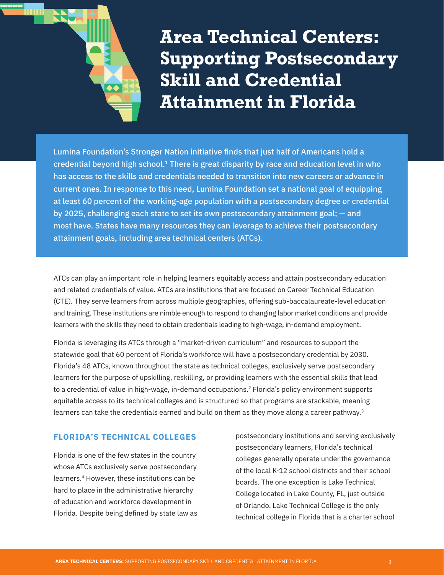

**Area Technical Centers: Supporting Postsecondary Skill and Credential Attainment in Florida**

Lumina Foundation's Stronger Nation initiative finds that just half of Americans hold a credential beyond high school.<sup>1</sup> There is great disparity by race and education level in who has access to the skills and credentials needed to transition into new careers or advance in current ones. In response to this need, Lumina Foundation set a national goal of equipping at least 60 percent of the working-age population with a postsecondary degree or credential by 2025, challenging each state to set its own postsecondary attainment goal; — and most have. States have many resources they can leverage to achieve their postsecondary attainment goals, including area technical centers (ATCs).

ATCs can play an important role in helping learners equitably access and attain postsecondary education and related credentials of value. ATCs are institutions that are focused on Career Technical Education (CTE). They serve learners from across multiple geographies, offering sub-baccalaureate-level education and training. These institutions are nimble enough to respond to changing labor market conditions and provide learners with the skills they need to obtain credentials leading to high-wage, in-demand employment.

Florida is leveraging its ATCs through a "market-driven curriculum" and resources to support the statewide goal that 60 percent of Florida's workforce will have a postsecondary credential by 2030. Florida's 48 ATCs, known throughout the state as technical colleges, exclusively serve postsecondary learners for the purpose of upskilling, reskilling, or providing learners with the essential skills that lead to a credential of value in high-wage, in-demand occupations.<sup>2</sup> Florida's policy environment supports equitable access to its technical colleges and is structured so that programs are stackable, meaning learners can take the credentials earned and build on them as they move along a career pathway.<sup>3</sup>

## **FLORIDA'S TECHNICAL COLLEGES**

Florida is one of the few states in the country whose ATCs exclusively serve postsecondary learners.4 However, these institutions can be hard to place in the administrative hierarchy of education and workforce development in Florida. Despite being defined by state law as postsecondary institutions and serving exclusively postsecondary learners, Florida's technical colleges generally operate under the governance of the local K-12 school districts and their school boards. The one exception is Lake Technical College located in Lake County, FL, just outside of Orlando. Lake Technical College is the only technical college in Florida that is a charter school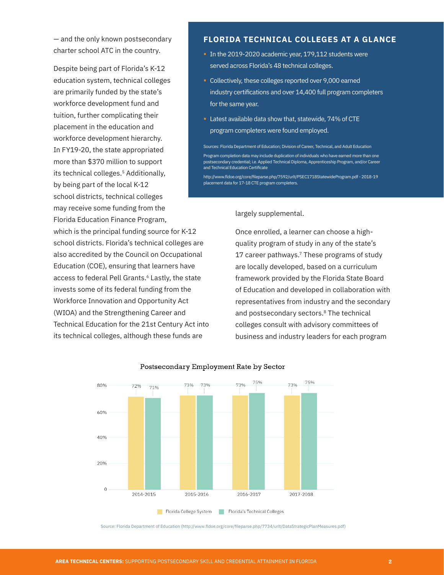— and the only known postsecondary charter school ATC in the country.

Despite being part of Florida's K-12 education system, technical colleges are primarily funded by the state's workforce development fund and tuition, further complicating their placement in the education and workforce development hierarchy. In FY19-20, the state appropriated more than \$370 million to support its technical colleges.<sup>5</sup> Additionally, by being part of the local K-12 school districts, technical colleges may receive some funding from the Florida Education Finance Program,

which is the principal funding source for K-12 school districts. Florida's technical colleges are also accredited by the Council on Occupational Education (COE), ensuring that learners have access to federal Pell Grants.<sup>6</sup> Lastly, the state invests some of its federal funding from the Workforce Innovation and Opportunity Act (WIOA) and the Strengthening Career and Technical Education for the 21st Century Act into its technical colleges, although these funds are

### **FLORIDA TECHNICAL COLLEGES AT A GLANCE**

- **In the 2019-2020 academic year, 179,112 students were** served across Florida's 48 technical colleges.
- § Collectively, these colleges reported over 9,000 earned industry certifications and over 14,400 full program completers for the same year.
- Latest available data show that, statewide, 74% of CTE program completers were found employed.

Sources: Florida Department of Education; Division of Career, Technical, and Adult Education Program completion data may include duplication of individuals who have earned more than one postsecondary credential; i.e. Applied Technical Diploma, Apprenticeship Program, and/or Career and Technical Education Certificate

http://www.fldoe.org/core/fileparse.php/7592/urlt/PSEC1718StatewideProgram.pdf - 2018-19 placement data for 17-18 CTE program completers.

largely supplemental.

Once enrolled, a learner can choose a highquality program of study in any of the state's 17 career pathways.<sup>7</sup> These programs of study are locally developed, based on a curriculum framework provided by the Florida State Board of Education and developed in collaboration with representatives from industry and the secondary and postsecondary sectors.<sup>8</sup> The technical colleges consult with advisory committees of business and industry leaders for each program



#### Postsecondary Employment Rate by Sector

Source: Florida Department of Education (http://www.fldoe.org/core/fileparse.php/7734/urlt/DataStrategicPlanMeasures.pdf)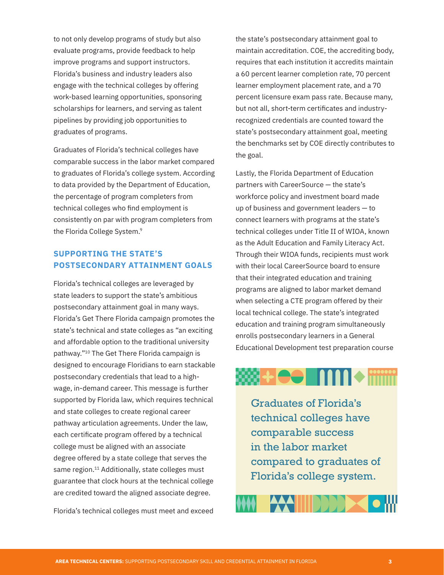to not only develop programs of study but also evaluate programs, provide feedback to help improve programs and support instructors. Florida's business and industry leaders also engage with the technical colleges by offering work-based learning opportunities, sponsoring scholarships for learners, and serving as talent pipelines by providing job opportunities to graduates of programs.

Graduates of Florida's technical colleges have comparable success in the labor market compared to graduates of Florida's college system. According to data provided by the Department of Education, the percentage of program completers from technical colleges who find employment is consistently on par with program completers from the Florida College System.<sup>9</sup>

# **SUPPORTING THE STATE'S POSTSECONDARY ATTAINMENT GOALS**

Florida's technical colleges are leveraged by state leaders to support the state's ambitious postsecondary attainment goal in many ways. Florida's Get There Florida campaign promotes the state's technical and state colleges as "an exciting and affordable option to the traditional university pathway."10 The Get There Florida campaign is designed to encourage Floridians to earn stackable postsecondary credentials that lead to a highwage, in-demand career. This message is further supported by Florida law, which requires technical and state colleges to create regional career pathway articulation agreements. Under the law, each certificate program offered by a technical college must be aligned with an associate degree offered by a state college that serves the same region.<sup>11</sup> Additionally, state colleges must guarantee that clock hours at the technical college are credited toward the aligned associate degree.

Florida's technical colleges must meet and exceed

the state's postsecondary attainment goal to maintain accreditation. COE, the accrediting body, requires that each institution it accredits maintain a 60 percent learner completion rate, 70 percent learner employment placement rate, and a 70 percent licensure exam pass rate. Because many, but not all, short-term certificates and industryrecognized credentials are counted toward the state's postsecondary attainment goal, meeting the benchmarks set by COE directly contributes to the goal.

Lastly, the Florida Department of Education partners with CareerSource — the state's workforce policy and investment board made up of business and government leaders — to connect learners with programs at the state's technical colleges under Title II of WIOA, known as the Adult Education and Family Literacy Act. Through their WIOA funds, recipients must work with their local CareerSource board to ensure that their integrated education and training programs are aligned to labor market demand when selecting a CTE program offered by their local technical college. The state's integrated education and training program simultaneously enrolls postsecondary learners in a General Educational Development test preparation course

# **W+ee MM+ mmm**

Graduates of Florida's technical colleges have comparable success in the labor market compared to graduates of Florida's college system.

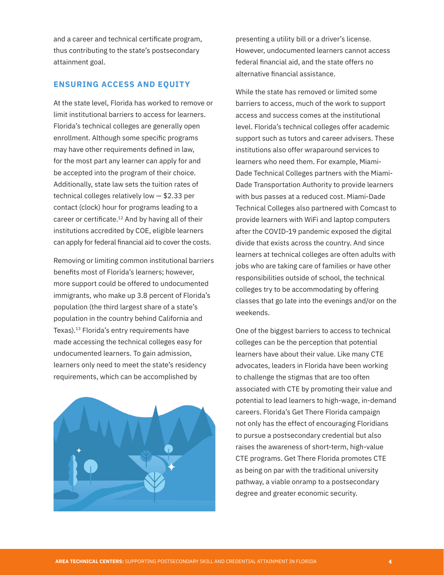and a career and technical certificate program, thus contributing to the state's postsecondary attainment goal.

### **ENSURING ACCESS AND EQUITY**

At the state level, Florida has worked to remove or limit institutional barriers to access for learners. Florida's technical colleges are generally open enrollment. Although some specific programs may have other requirements defined in law, for the most part any learner can apply for and be accepted into the program of their choice. Additionally, state law sets the tuition rates of technical colleges relatively low — \$2.33 per contact (clock) hour for programs leading to a career or certificate.<sup>12</sup> And by having all of their institutions accredited by COE, eligible learners can apply for federal financial aid to cover the costs.

Removing or limiting common institutional barriers benefits most of Florida's learners; however, more support could be offered to undocumented immigrants, who make up 3.8 percent of Florida's population (the third largest share of a state's population in the country behind California and Texas).13 Florida's entry requirements have made accessing the technical colleges easy for undocumented learners. To gain admission, learners only need to meet the state's residency requirements, which can be accomplished by



presenting a utility bill or a driver's license. However, undocumented learners cannot access federal financial aid, and the state offers no alternative financial assistance.

While the state has removed or limited some barriers to access, much of the work to support access and success comes at the institutional level. Florida's technical colleges offer academic support such as tutors and career advisers. These institutions also offer wraparound services to learners who need them. For example, Miami-Dade Technical Colleges partners with the Miami-Dade Transportation Authority to provide learners with bus passes at a reduced cost. Miami-Dade Technical Colleges also partnered with Comcast to provide learners with WiFi and laptop computers after the COVID-19 pandemic exposed the digital divide that exists across the country. And since learners at technical colleges are often adults with jobs who are taking care of families or have other responsibilities outside of school, the technical colleges try to be accommodating by offering classes that go late into the evenings and/or on the weekends.

One of the biggest barriers to access to technical colleges can be the perception that potential learners have about their value. Like many CTE advocates, leaders in Florida have been working to challenge the stigmas that are too often associated with CTE by promoting their value and potential to lead learners to high-wage, in-demand careers. Florida's Get There Florida campaign not only has the effect of encouraging Floridians to pursue a postsecondary credential but also raises the awareness of short-term, high-value CTE programs. Get There Florida promotes CTE as being on par with the traditional university pathway, a viable onramp to a postsecondary degree and greater economic security.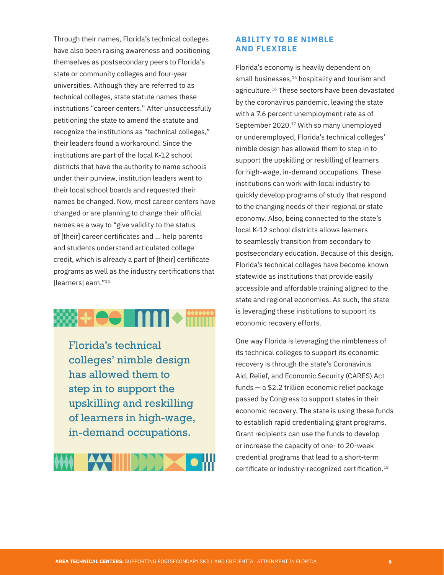Through their names, Florida's technical colleges have also been raising awareness and positioning themselves as postsecondary peers to Florida's state or community colleges and four-year universities. Although they are referred to as technical colleges, state statute names these institutions "career centers." After unsuccessfully petitioning the state to amend the statute and recognize the institutions as "technical colleges," their leaders found a workaround. Since the institutions are part of the local K-12 school districts that have the authority to name schools under their purview, institution leaders went to their local school boards and requested their names be changed. Now, most career centers have changed or are planning to change their official names as a way to "give validity to the status of [their] career certificates and ... help parents and students understand articulated college credit, which is already a part of [their] certificate programs as well as the industry certifications that [learners] earn."<sup>14</sup>

# 

Florida's technical colleges' nimble design has allowed them to step in to support the upskilling and reskilling of learners in high-wage, in-demand occupations.



## **ABILITY TO BE NIMBLE AND FLEXIBLE**

Florida's economy is heavily dependent on small businesses,<sup>15</sup> hospitality and tourism and agriculture.16 These sectors have been devastated by the coronavirus pandemic, leaving the state with a 7.6 percent unemployment rate as of September 2020.17 With so many unemployed or underemployed, Florida's technical colleges' nimble design has allowed them to step in to support the upskilling or reskilling of learners for high-wage, in-demand occupations. These institutions can work with local industry to quickly develop programs of study that respond to the changing needs of their regional or state economy. Also, being connected to the state's local K-12 school districts allows learners to seamlessly transition from secondary to postsecondary education. Because of this design, Florida's technical colleges have become known statewide as institutions that provide easily accessible and affordable training aligned to the state and regional economies. As such, the state is leveraging these institutions to support its economic recovery efforts.

One way Florida is leveraging the nimbleness of its technical colleges to support its economic recovery is through the state's Coronavirus Aid, Relief, and Economic Security (CARES) Act funds — a \$2.2 trillion economic relief package passed by Congress to support states in their economic recovery. The state is using these funds to establish rapid credentialing grant programs. Grant recipients can use the funds to develop or increase the capacity of one- to 20-week credential programs that lead to a short-term certificate or industry-recognized certification.<sup>18</sup>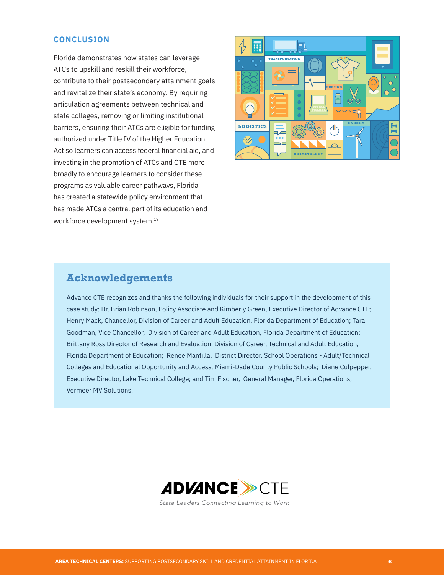### **CONCLUSION**

Florida demonstrates how states can leverage ATCs to upskill and reskill their workforce, contribute to their postsecondary attainment goals and revitalize their state's economy. By requiring articulation agreements between technical and state colleges, removing or limiting institutional barriers, ensuring their ATCs are eligible for funding authorized under Title IV of the Higher Education Act so learners can access federal financial aid, and investing in the promotion of ATCs and CTE more broadly to encourage learners to consider these programs as valuable career pathways, Florida has created a statewide policy environment that has made ATCs a central part of its education and workforce development system.19



# **Acknowledgements**

Advance CTE recognizes and thanks the following individuals for their support in the development of this case study: Dr. Brian Robinson, Policy Associate and Kimberly Green, Executive Director of Advance CTE; Henry Mack, Chancellor, Division of Career and Adult Education, Florida Department of Education; Tara Goodman, Vice Chancellor, Division of Career and Adult Education, Florida Department of Education; Brittany Ross Director of Research and Evaluation, Division of Career, Technical and Adult Education, Florida Department of Education; Renee Mantilla, District Director, School Operations - Adult/Technical Colleges and Educational Opportunity and Access, Miami-Dade County Public Schools; Diane Culpepper, Executive Director, Lake Technical College; and Tim Fischer, General Manager, Florida Operations, Vermeer MV Solutions.



State Leaders Connecting Learning to Work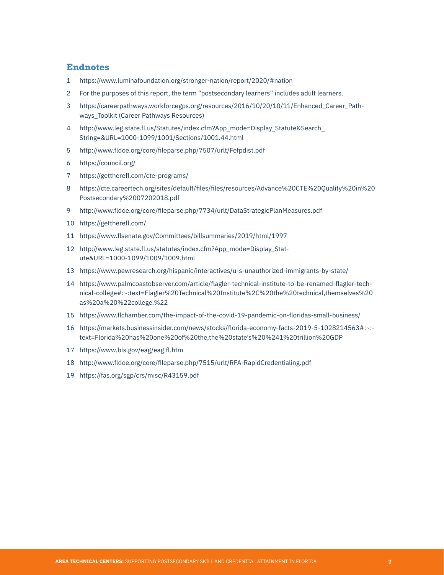## **Endnotes**

- https://www.luminafoundation.org/stronger-nation/report/2020/#nation
- For the purposes of this report, the term "postsecondary learners" includes adult learners.
- https://careerpathways.workforcegps.org/resources/2016/10/20/10/11/Enhanced\_Career\_Pathways\_Toolkit (Career Pathways Resources)
- http://www.leg.state.fl.us/Statutes/index.cfm?App\_mode=Display\_Statute&Search\_ String=&URL=1000-1099/1001/Sections/1001.44.html
- http://www.fldoe.org/core/fileparse.php/7507/urlt/Fefpdist.pdf
- https://council.org/
- https://gettherefl.com/cte-programs/
- https://cte.careertech.org/sites/default/files/files/resources/Advance%20CTE%20Quality%20in%20 Postsecondary%2007202018.pdf
- http://www.fldoe.org/core/fileparse.php/7734/urlt/DataStrategicPlanMeasures.pdf
- https://gettherefl.com/
- https://www.flsenate.gov/Committees/billsummaries/2019/html/1997
- http://www.leg.state.fl.us/statutes/index.cfm?App\_mode=Display\_Statute&URL=1000-1099/1009/1009.html
- https://www.pewresearch.org/hispanic/interactives/u-s-unauthorized-immigrants-by-state/
- https://www.palmcoastobserver.com/article/flagler-technical-institute-to-be-renamed-flagler-technical-college#:~:text=Flagler%20Technical%20Institute%2C%20the%20technical,themselves%20 as%20a%20%22college.%22
- https://www.flchamber.com/the-impact-of-the-covid-19-pandemic-on-floridas-small-business/
- https://markets.businessinsider.com/news/stocks/florida-economy-facts-2019-5-1028214563#:~: text=Florida%20has%20one%20of%20the,the%20state's%20%241%20trillion%20GDP
- https://www.bls.gov/eag/eag.fl.htm
- http://www.fldoe.org/core/fileparse.php/7515/urlt/RFA-RapidCredentialing.pdf
- https://fas.org/sgp/crs/misc/R43159.pdf